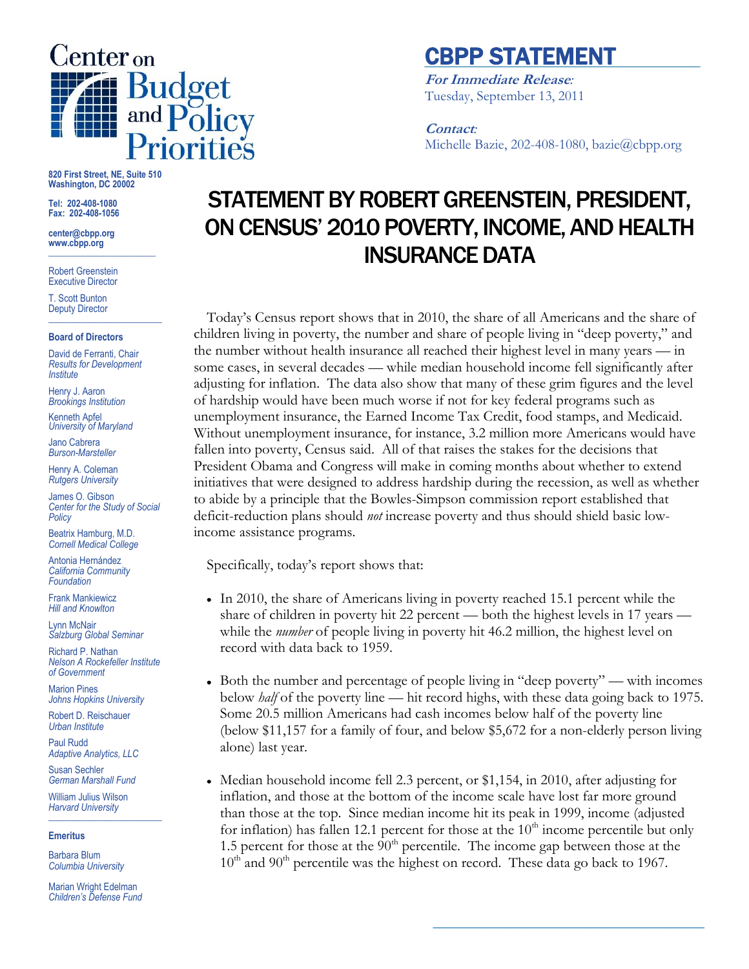

## CBPP STATEMENT

**For Immediate Release***:* Tuesday, September 13, 2011

**Contact***:* Michelle Bazie, 202-408-1080, bazie@cbpp.org

**820 First Street, NE, Suite 510 Washington, DC 20002**

**Tel: 202-408-1080 Fax: 202-408-1056**

**center@cbpp.org www.cbpp.org \_\_\_\_\_\_\_\_\_\_\_\_\_\_\_\_\_\_\_\_\_\_\_\_**

Robert Greenstein Executive Director

T. Scott Bunton Deputy Director **\_\_\_\_\_\_\_\_\_\_\_\_\_\_\_\_\_\_\_\_\_\_\_\_**

#### **Board of Directors**

David de Ferranti, Chair *Results for Development Institute*

Henry J. Aaron *Brookings Institution*

Kenneth Apfel *University of Maryland*

Jano Cabrera *Burson-Marsteller*

Henry A. Coleman *Rutgers University*

James O. Gibson *Center for the Study of Social Policy*

Beatrix Hamburg, M.D. *Cornell Medical College*

Antonia Hernández *California Community Foundation*

Frank Mankiewicz *Hill and Knowlton*

Lynn McNair *Salzburg Global Seminar*

Richard P. Nathan *Nelson A Rockefeller Institute of Government*

Marion Pines *Johns Hopkins University*

Robert D. Reischauer *Urban Institute*

Paul Rudd *Adaptive Analytics, LLC*

Susan Sechler *German Marshall Fund*

William Julius Wilson *Harvard University* **\_\_\_\_\_\_\_\_\_\_\_\_\_\_\_\_\_\_\_\_\_\_\_\_**

### **Emeritus**

Barbara Blum *Columbia University*

Marian Wright Edelman *Children's Defense Fund*

# STATEMENT BY ROBERT GREENSTEIN, PRESIDENT, ON CENSUS' 2010 POVERTY, INCOME, AND HEALTH INSURANCE DATA

Today's Census report shows that in 2010, the share of all Americans and the share of children living in poverty, the number and share of people living in "deep poverty," and the number without health insurance all reached their highest level in many years — in some cases, in several decades — while median household income fell significantly after adjusting for inflation. The data also show that many of these grim figures and the level of hardship would have been much worse if not for key federal programs such as unemployment insurance, the Earned Income Tax Credit, food stamps, and Medicaid. Without unemployment insurance, for instance, 3.2 million more Americans would have fallen into poverty, Census said. All of that raises the stakes for the decisions that President Obama and Congress will make in coming months about whether to extend initiatives that were designed to address hardship during the recession, as well as whether to abide by a principle that the Bowles-Simpson commission report established that deficit-reduction plans should *not* increase poverty and thus should shield basic lowincome assistance programs.

Specifically, today's report shows that:

- In 2010, the share of Americans living in poverty reached 15.1 percent while the share of children in poverty hit 22 percent — both the highest levels in 17 years while the *number* of people living in poverty hit 46.2 million, the highest level on record with data back to 1959.
- Both the number and percentage of people living in "deep poverty" with incomes below *half* of the poverty line — hit record highs, with these data going back to 1975. Some 20.5 million Americans had cash incomes below half of the poverty line (below \$11,157 for a family of four, and below \$5,672 for a non-elderly person living alone) last year.
- Median household income fell 2.3 percent, or \$1,154, in 2010, after adjusting for inflation, and those at the bottom of the income scale have lost far more ground than those at the top. Since median income hit its peak in 1999, income (adjusted for inflation) has fallen 12.1 percent for those at the  $10<sup>th</sup>$  income percentile but only 1.5 percent for those at the  $90<sup>th</sup>$  percentile. The income gap between those at the  $10<sup>th</sup>$  and  $90<sup>th</sup>$  percentile was the highest on record. These data go back to 1967.

**\_\_\_\_\_\_\_\_\_\_\_\_\_\_\_\_\_\_\_\_\_\_\_\_\_\_\_\_\_\_\_\_\_\_\_\_\_**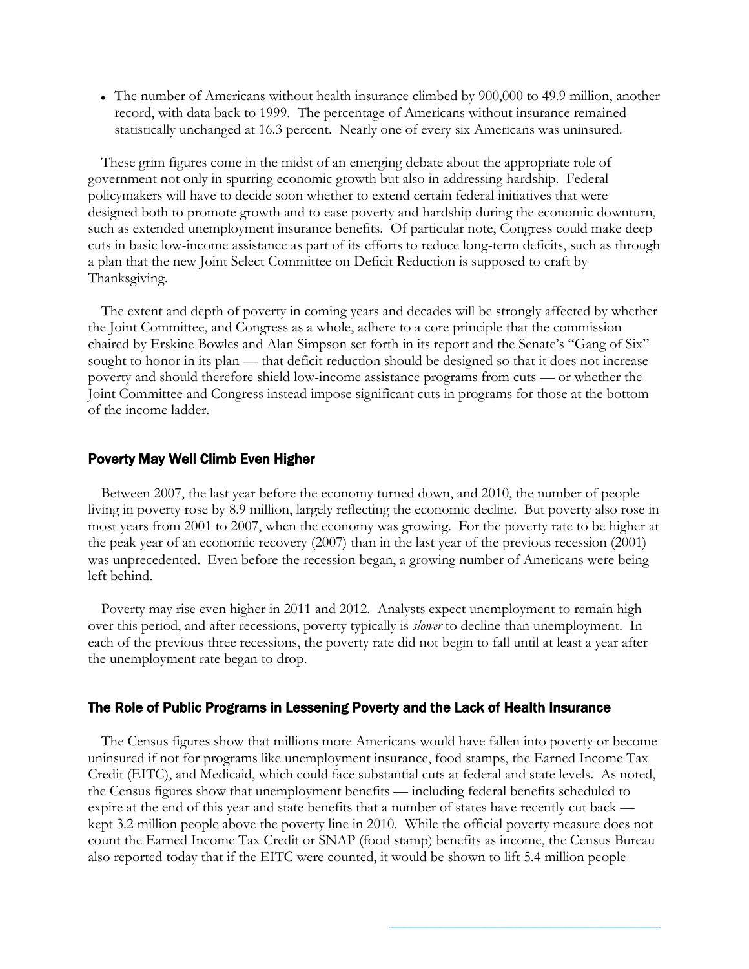The number of Americans without health insurance climbed by 900,000 to 49.9 million, another record, with data back to 1999. The percentage of Americans without insurance remained statistically unchanged at 16.3 percent. Nearly one of every six Americans was uninsured.

These grim figures come in the midst of an emerging debate about the appropriate role of government not only in spurring economic growth but also in addressing hardship. Federal policymakers will have to decide soon whether to extend certain federal initiatives that were designed both to promote growth and to ease poverty and hardship during the economic downturn, such as extended unemployment insurance benefits. Of particular note, Congress could make deep cuts in basic low-income assistance as part of its efforts to reduce long-term deficits, such as through a plan that the new Joint Select Committee on Deficit Reduction is supposed to craft by Thanksgiving.

The extent and depth of poverty in coming years and decades will be strongly affected by whether the Joint Committee, and Congress as a whole, adhere to a core principle that the commission chaired by Erskine Bowles and Alan Simpson set forth in its report and the Senate's "Gang of Six" sought to honor in its plan — that deficit reduction should be designed so that it does not increase poverty and should therefore shield low-income assistance programs from cuts — or whether the Joint Committee and Congress instead impose significant cuts in programs for those at the bottom of the income ladder.

### Poverty May Well Climb Even Higher

Between 2007, the last year before the economy turned down, and 2010, the number of people living in poverty rose by 8.9 million, largely reflecting the economic decline. But poverty also rose in most years from 2001 to 2007, when the economy was growing. For the poverty rate to be higher at the peak year of an economic recovery (2007) than in the last year of the previous recession (2001) was unprecedented. Even before the recession began, a growing number of Americans were being left behind.

Poverty may rise even higher in 2011 and 2012. Analysts expect unemployment to remain high over this period, and after recessions, poverty typically is *slower* to decline than unemployment. In each of the previous three recessions, the poverty rate did not begin to fall until at least a year after the unemployment rate began to drop.

## The Role of Public Programs in Lessening Poverty and the Lack of Health Insurance

The Census figures show that millions more Americans would have fallen into poverty or become uninsured if not for programs like unemployment insurance, food stamps, the Earned Income Tax Credit (EITC), and Medicaid, which could face substantial cuts at federal and state levels. As noted, the Census figures show that unemployment benefits — including federal benefits scheduled to expire at the end of this year and state benefits that a number of states have recently cut back kept 3.2 million people above the poverty line in 2010. While the official poverty measure does not count the Earned Income Tax Credit or SNAP (food stamp) benefits as income, the Census Bureau also reported today that if the EITC were counted, it would be shown to lift 5.4 million people

**\_\_\_\_\_\_\_\_\_\_\_\_\_\_\_\_\_\_\_\_\_\_\_\_\_\_\_\_\_\_\_\_\_\_\_\_\_**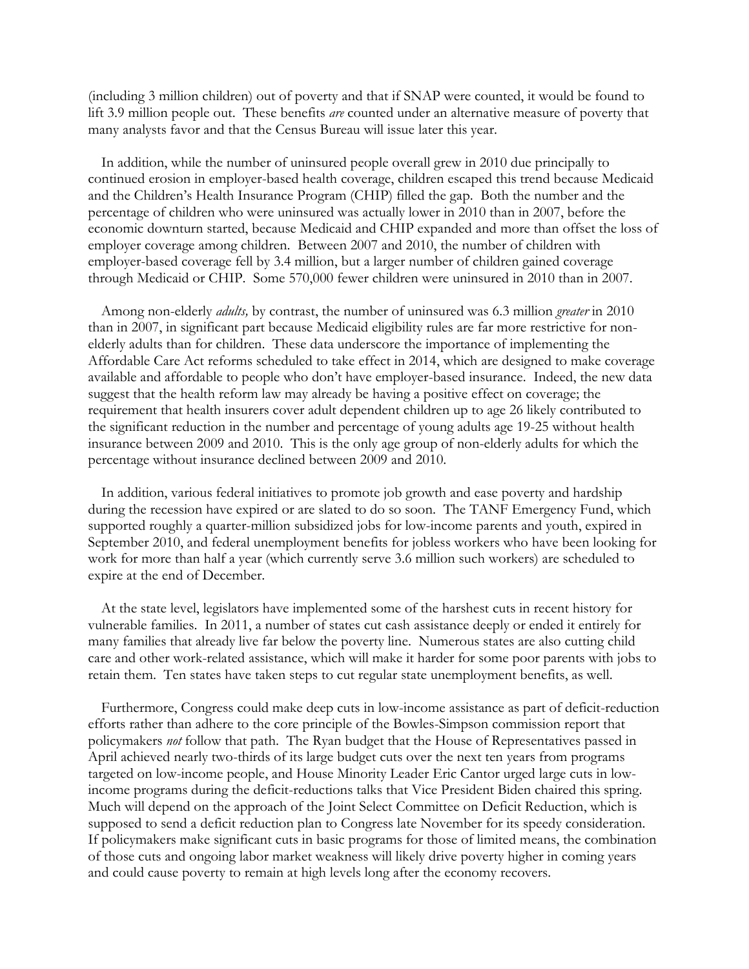(including 3 million children) out of poverty and that if SNAP were counted, it would be found to lift 3.9 million people out. These benefits *are* counted under an alternative measure of poverty that many analysts favor and that the Census Bureau will issue later this year.

In addition, while the number of uninsured people overall grew in 2010 due principally to continued erosion in employer-based health coverage, children escaped this trend because Medicaid and the Children's Health Insurance Program (CHIP) filled the gap. Both the number and the percentage of children who were uninsured was actually lower in 2010 than in 2007, before the economic downturn started, because Medicaid and CHIP expanded and more than offset the loss of employer coverage among children. Between 2007 and 2010, the number of children with employer-based coverage fell by 3.4 million, but a larger number of children gained coverage through Medicaid or CHIP. Some 570,000 fewer children were uninsured in 2010 than in 2007.

Among non-elderly *adults,* by contrast, the number of uninsured was 6.3 million *greater* in 2010 than in 2007, in significant part because Medicaid eligibility rules are far more restrictive for nonelderly adults than for children. These data underscore the importance of implementing the Affordable Care Act reforms scheduled to take effect in 2014, which are designed to make coverage available and affordable to people who don't have employer-based insurance. Indeed, the new data suggest that the health reform law may already be having a positive effect on coverage; the requirement that health insurers cover adult dependent children up to age 26 likely contributed to the significant reduction in the number and percentage of young adults age 19-25 without health insurance between 2009 and 2010. This is the only age group of non-elderly adults for which the percentage without insurance declined between 2009 and 2010.

In addition, various federal initiatives to promote job growth and ease poverty and hardship during the recession have expired or are slated to do so soon. The TANF Emergency Fund, which supported roughly a quarter-million subsidized jobs for low-income parents and youth, expired in September 2010, and federal unemployment benefits for jobless workers who have been looking for work for more than half a year (which currently serve 3.6 million such workers) are scheduled to expire at the end of December.

At the state level, legislators have implemented some of the harshest cuts in recent history for vulnerable families. In 2011, a number of states cut cash assistance deeply or ended it entirely for many families that already live far below the poverty line. Numerous states are also cutting child care and other work-related assistance, which will make it harder for some poor parents with jobs to retain them. Ten states have taken steps to cut regular state unemployment benefits, as well.

Furthermore, Congress could make deep cuts in low-income assistance as part of deficit-reduction efforts rather than adhere to the core principle of the Bowles-Simpson commission report that policymakers *not* follow that path. The Ryan budget that the House of Representatives passed in April achieved nearly two-thirds of its large budget cuts over the next ten years from programs targeted on low-income people, and House Minority Leader Eric Cantor urged large cuts in lowincome programs during the deficit-reductions talks that Vice President Biden chaired this spring. Much will depend on the approach of the Joint Select Committee on Deficit Reduction, which is supposed to send a deficit reduction plan to Congress late November for its speedy consideration. If policymakers make significant cuts in basic programs for those of limited means, the combination of those cuts and ongoing labor market weakness will likely drive poverty higher in coming years and could cause poverty to remain at high levels long after the economy recovers.